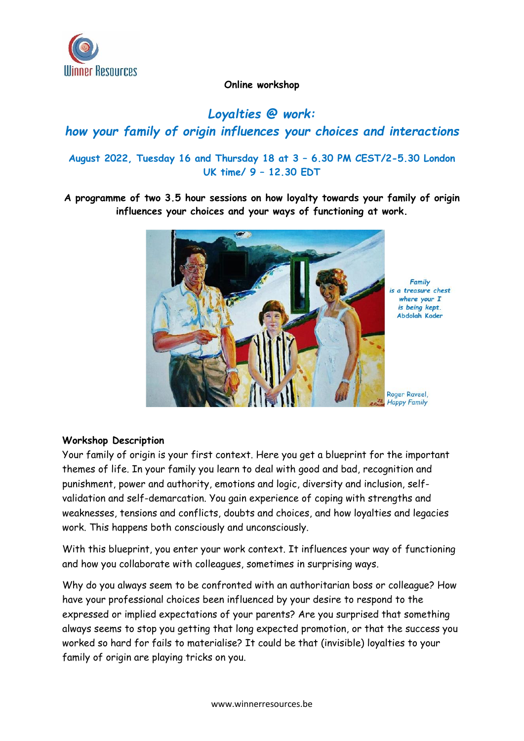

#### **Online workshop**

# *Loyalties @ work: how your family of origin influences your choices and interactions*

## **August 2022, Tuesday 16 and Thursday 18 at 3 – 6.30 PM CEST/2-5.30 London UK time/ 9 – 12.30 EDT**

**A programme of two 3.5 hour sessions on how loyalty towards your family of origin influences your choices and your ways of functioning at work.**



#### **Workshop Description**

Your family of origin is your first context. Here you get a blueprint for the important themes of life. In your family you learn to deal with good and bad, recognition and punishment, power and authority, emotions and logic, diversity and inclusion, selfvalidation and self-demarcation. You gain experience of coping with strengths and weaknesses, tensions and conflicts, doubts and choices, and how loyalties and legacies work. This happens both consciously and unconsciously.

With this blueprint, you enter your work context. It influences your way of functioning and how you collaborate with colleagues, sometimes in surprising ways.

Why do you always seem to be confronted with an authoritarian boss or colleague? How have your professional choices been influenced by your desire to respond to the expressed or implied expectations of your parents? Are you surprised that something always seems to stop you getting that long expected promotion, or that the success you worked so hard for fails to materialise? It could be that (invisible) loyalties to your family of origin are playing tricks on you.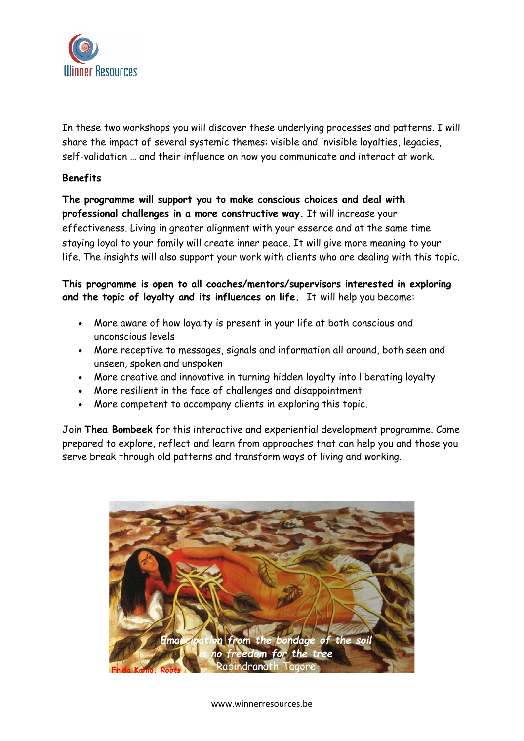

In these two workshops you will discover these underlying processes and patterns. I will share the impact of several systemic themes: visible and invisible loyalties, legacies, self-validation … and their influence on how you communicate and interact at work.

#### **Benefits**

**The programme will support you to make conscious choices and deal with professional challenges in a more constructive way.** It will increase your effectiveness. Living in greater alignment with your essence and at the same time staying loyal to your family will create inner peace. It will give more meaning to your life. The insights will also support your work with clients who are dealing with this topic.

**This programme is open to all coaches/mentors/supervisors interested in exploring and the topic of loyalty and its influences on life.** It will help you become:

- More aware of how loyalty is present in your life at both conscious and unconscious levels
- More receptive to messages, signals and information all around, both seen and unseen, spoken and unspoken
- More creative and innovative in turning hidden loyalty into liberating loyalty
- More resilient in the face of challenges and disappointment
- More competent to accompany clients in exploring this topic.

Join **Thea Bombeek** for this interactive and experiential development programme. Come prepared to explore, reflect and learn from approaches that can help you and those you serve break through old patterns and transform ways of living and working.



www.winnerresources.be